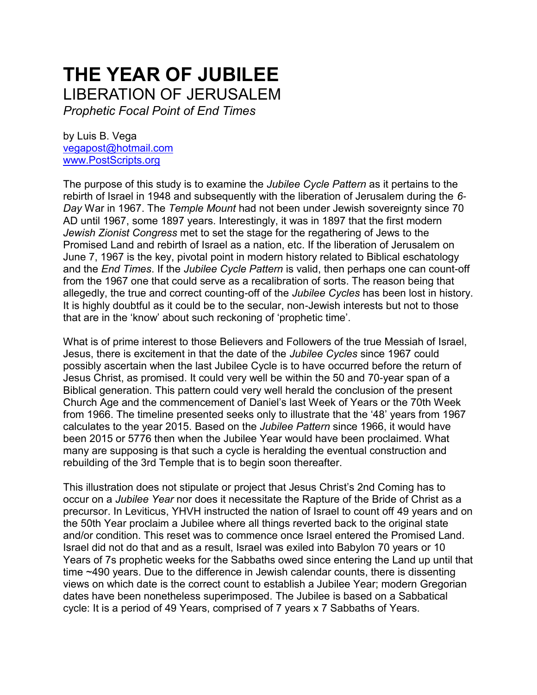## **THE YEAR OF JUBILEE**  LIBERATION OF JERUSALEM

*Prophetic Focal Point of End Times*

by Luis B. Vega [vegapost@hotmail.com](mailto:vegapost@hotmail.com) [www.PostScripts.org](http://www.postscripts.org/)

The purpose of this study is to examine the *Jubilee Cycle Pattern* as it pertains to the rebirth of Israel in 1948 and subsequently with the liberation of Jerusalem during the *6- Day* War in 1967. The *Temple Mount* had not been under Jewish sovereignty since 70 AD until 1967, some 1897 years. Interestingly, it was in 1897 that the first modern *Jewish Zionist Congress* met to set the stage for the regathering of Jews to the Promised Land and rebirth of Israel as a nation, etc. If the liberation of Jerusalem on June 7, 1967 is the key, pivotal point in modern history related to Biblical eschatology and the *End Times*. If the *Jubilee Cycle Pattern* is valid, then perhaps one can count-off from the 1967 one that could serve as a recalibration of sorts. The reason being that allegedly, the true and correct counting-off of the *Jubilee Cycles* has been lost in history. It is highly doubtful as it could be to the secular, non-Jewish interests but not to those that are in the 'know' about such reckoning of 'prophetic time'.

What is of prime interest to those Believers and Followers of the true Messiah of Israel, Jesus, there is excitement in that the date of the *Jubilee Cycles* since 1967 could possibly ascertain when the last Jubilee Cycle is to have occurred before the return of Jesus Christ, as promised. It could very well be within the 50 and 70-year span of a Biblical generation. This pattern could very well herald the conclusion of the present Church Age and the commencement of Daniel's last Week of Years or the 70th Week from 1966. The timeline presented seeks only to illustrate that the '48' years from 1967 calculates to the year 2015. Based on the *Jubilee Pattern* since 1966, it would have been 2015 or 5776 then when the Jubilee Year would have been proclaimed. What many are supposing is that such a cycle is heralding the eventual construction and rebuilding of the 3rd Temple that is to begin soon thereafter.

This illustration does not stipulate or project that Jesus Christ's 2nd Coming has to occur on a *Jubilee Year* nor does it necessitate the Rapture of the Bride of Christ as a precursor. In Leviticus, YHVH instructed the nation of Israel to count off 49 years and on the 50th Year proclaim a Jubilee where all things reverted back to the original state and/or condition. This reset was to commence once Israel entered the Promised Land. Israel did not do that and as a result, Israel was exiled into Babylon 70 years or 10 Years of 7s prophetic weeks for the Sabbaths owed since entering the Land up until that time ~490 years. Due to the difference in Jewish calendar counts, there is dissenting views on which date is the correct count to establish a Jubilee Year; modern Gregorian dates have been nonetheless superimposed. The Jubilee is based on a Sabbatical cycle: It is a period of 49 Years, comprised of 7 years x 7 Sabbaths of Years.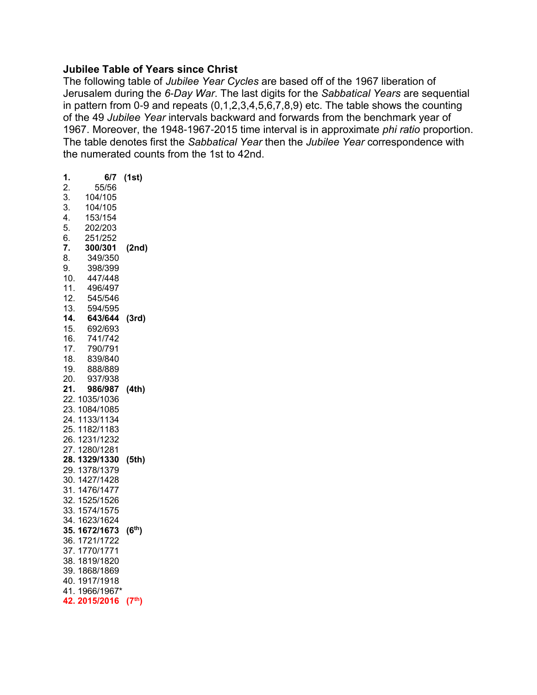## **Jubilee Table of Years since Christ**

The following table of *Jubilee Year Cycles* are based off of the 1967 liberation of Jerusalem during the *6-Day War*. The last digits for the *Sabbatical Years* are sequential in pattern from 0-9 and repeats  $(0,1,2,3,4,5,6,7,8,9)$  etc. The table shows the counting of the 49 *Jubilee Year* intervals backward and forwards from the benchmark year of 1967. Moreover, the 1948-1967-2015 time interval is in approximate *phi ratio* proportion. The table denotes first the *Sabbatical Year* then the *Jubilee Year* correspondence with the numerated counts from the 1st to 42nd.

| 1.  | 6/7           | (1st)              |
|-----|---------------|--------------------|
| 2.  | 55/56         |                    |
| 3.  | 104/105       |                    |
| 3.  | 104/105       |                    |
| 4.  | 153/154       |                    |
| 5.  | 202/203       |                    |
| 6.  | 251/252       |                    |
| 7.  | 300/301       | (2nd)              |
| 8.  | 349/350       |                    |
| 9.  | 398/399       |                    |
| 10. | 447/448       |                    |
| 11. | 496/497       |                    |
| 12. | 545/546       |                    |
| 13. | 594/595       |                    |
| 14. | 643/644       | (3rd)              |
| 15. | 692/693       |                    |
| 16. | 741/742       |                    |
| 17. | 790/791       |                    |
| 18. | 839/840       |                    |
| 19. | 888/889       |                    |
| 20. | 937/938       |                    |
| 21. | 986/987       | (4th)              |
| 22. | 1035/1036     |                    |
|     | 23. 1084/1085 |                    |
|     | 24. 1133/1134 |                    |
|     | 25. 1182/1183 |                    |
|     | 26. 1231/1232 |                    |
|     | 27.1280/1281  |                    |
|     | 28.1329/1330  | (5th)              |
|     | 29. 1378/1379 |                    |
|     | 30. 1427/1428 |                    |
|     | 31. 1476/1477 |                    |
|     | 32. 1525/1526 |                    |
|     | 33. 1574/1575 |                    |
| 34. | 1623/1624     |                    |
|     | 35. 1672/1673 | (6 <sup>th</sup> ) |
|     | 36. 1721/1722 |                    |
|     | 37.1770/1771  |                    |
|     | 38. 1819/1820 |                    |
|     | 39.1868/1869  |                    |
|     | 40.1917/1918  |                    |
|     | 41.1966/1967* |                    |
| 42. | 2015/2016     | (7 <sup>th</sup> ) |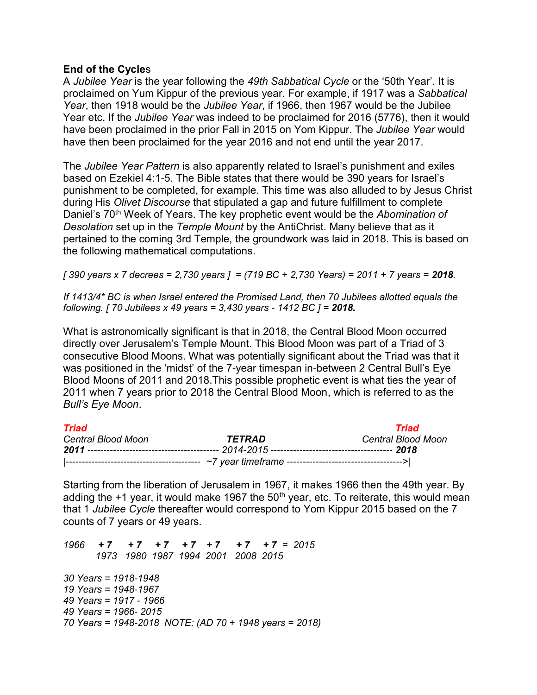## **End of the Cycle**s

A *Jubilee Year* is the year following the *49th Sabbatical Cycle* or the '50th Year'. It is proclaimed on Yum Kippur of the previous year. For example, if 1917 was a *Sabbatical Year*, then 1918 would be the *Jubilee Year*, if 1966, then 1967 would be the Jubilee Year etc. If the *Jubilee Year* was indeed to be proclaimed for 2016 (5776), then it would have been proclaimed in the prior Fall in 2015 on Yom Kippur. The *Jubilee Year* would have then been proclaimed for the year 2016 and not end until the year 2017.

The *Jubilee Year Pattern* is also apparently related to Israel's punishment and exiles based on Ezekiel 4:1-5. The Bible states that there would be 390 years for Israel's punishment to be completed, for example. This time was also alluded to by Jesus Christ during His *Olivet Discourse* that stipulated a gap and future fulfillment to complete Daniel's 70th Week of Years. The key prophetic event would be the *Abomination of Desolation* set up in the *Temple Mount* by the AntiChrist. Many believe that as it pertained to the coming 3rd Temple, the groundwork was laid in 2018. This is based on the following mathematical computations.

*[ 390 years x 7 decrees = 2,730 years ] = (719 BC + 2,730 Years) = 2011 + 7 years = 2018.* 

*If 1413/4\* BC is when Israel entered the Promised Land, then 70 Jubilees allotted equals the following. [ 70 Jubilees x 49 years = 3,430 years - 1412 BC ] = 2018.*

What is astronomically significant is that in 2018, the Central Blood Moon occurred directly over Jerusalem's Temple Mount. This Blood Moon was part of a Triad of 3 consecutive Blood Moons. What was potentially significant about the Triad was that it was positioned in the 'midst' of the 7-year timespan in-between 2 Central Bull's Eye Blood Moons of 2011 and 2018.This possible prophetic event is what ties the year of 2011 when 7 years prior to 2018 the Central Blood Moon, which is referred to as the *Bull's Eye Moon*.

| Triad              |        | Triad              |
|--------------------|--------|--------------------|
| Central Blood Moon | TETRAD | Central Blood Moon |
|                    |        |                    |
|                    |        |                    |

Starting from the liberation of Jerusalem in 1967, it makes 1966 then the 49th year. By adding the  $+1$  year, it would make 1967 the 50<sup>th</sup> year, etc. To reiterate, this would mean that 1 *Jubilee Cycle* thereafter would correspond to Yom Kippur 2015 based on the 7 counts of 7 years or 49 years.

*1966 + 7 + 7 + 7 + 7 + 7 + 7 + 7 = 2015 1973 1980 1987 1994 2001 2008 2015 30 Years = 1918-1948 19 Years = 1948-1967 49 Years = 1917 - 1966 49 Years = 1966- 2015 70 Years = 1948-2018 NOTE: (AD 70 + 1948 years = 2018)*